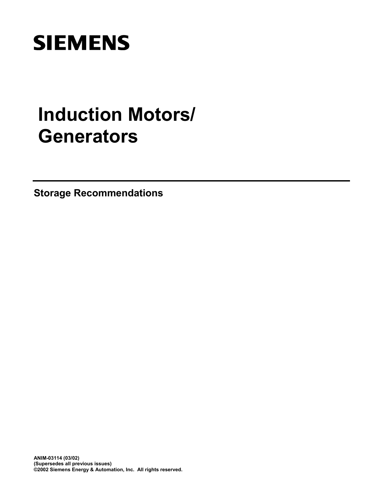# **SIEMENS**

# **Induction Motors/ Generators**

**Storage Recommendations**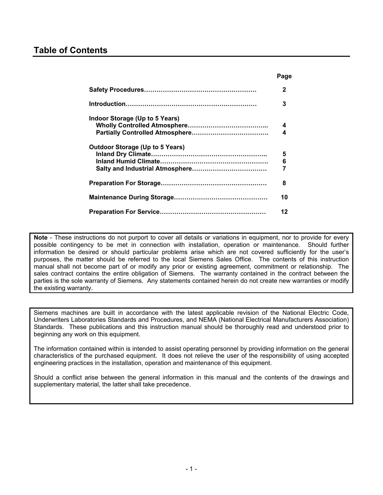### **Table of Contents**

|                                                                          | Page        |
|--------------------------------------------------------------------------|-------------|
|                                                                          | 2           |
|                                                                          | 3           |
| Indoor Storage (Up to 5 Years)<br><b>Outdoor Storage (Up to 5 Years)</b> | 4<br>4<br>5 |
|                                                                          | 6<br>7      |
|                                                                          | 8           |
|                                                                          | 10          |
|                                                                          | 12          |

**Note** - These instructions do not purport to cover all details or variations in equipment, nor to provide for every possible contingency to be met in connection with installation, operation or maintenance. Should further information be desired or should particular problems arise which are not covered sufficiently for the user's purposes, the matter should be referred to the local Siemens Sales Office. The contents of this instruction manual shall not become part of or modify any prior or existing agreement, commitment or relationship. The sales contract contains the entire obligation of Siemens. The warranty contained in the contract between the parties is the sole warranty of Siemens. Any statements contained herein do not create new warranties or modify the existing warranty.

Siemens machines are built in accordance with the latest applicable revision of the National Electric Code, Underwriters Laboratories Standards and Procedures, and NEMA (National Electrical Manufacturers Association) Standards. These publications and this instruction manual should be thoroughly read and understood prior to beginning any work on this equipment.

The information contained within is intended to assist operating personnel by providing information on the general characteristics of the purchased equipment. It does not relieve the user of the responsibility of using accepted engineering practices in the installation, operation and maintenance of this equipment.

Should a conflict arise between the general information in this manual and the contents of the drawings and supplementary material, the latter shall take precedence.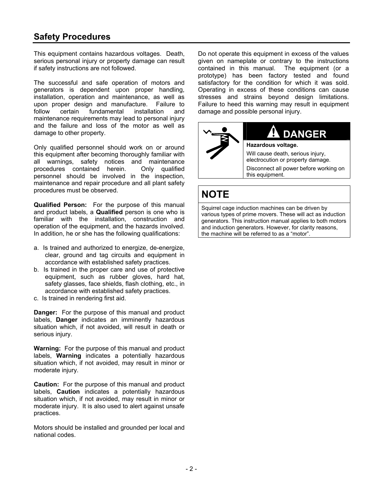## <span id="page-2-0"></span>**Safety Procedures**

This equipment contains hazardous voltages. Death, serious personal injury or property damage can result if safety instructions are not followed.

The successful and safe operation of motors and generators is dependent upon proper handling, installation, operation and maintenance, as well as upon proper design and manufacture. Failure to follow certain fundamental installation and maintenance requirements may lead to personal injury and the failure and loss of the motor as well as damage to other property.

Only qualified personnel should work on or around this equipment after becoming thoroughly familiar with all warnings, safety notices and maintenance procedures contained herein. Only qualified personnel should be involved in the inspection, maintenance and repair procedure and all plant safety procedures must be observed.

**Qualified Person:** For the purpose of this manual and product labels, a **Qualified** person is one who is familiar with the installation, construction and operation of the equipment, and the hazards involved. In addition, he or she has the following qualifications:

- a. Is trained and authorized to energize, de-energize, clear, ground and tag circuits and equipment in accordance with established safety practices.
- b. Is trained in the proper care and use of protective equipment, such as rubber gloves, hard hat, safety glasses, face shields, flash clothing, etc., in accordance with established safety practices.
- c. Is trained in rendering first aid.

**Danger:** For the purpose of this manual and product labels, **Danger** indicates an imminently hazardous situation which, if not avoided, will result in death or serious injury.

**Warning:** For the purpose of this manual and product labels, **Warning** indicates a potentially hazardous situation which, if not avoided, may result in minor or moderate injury.

**Caution:** For the purpose of this manual and product labels, **Caution** indicates a potentially hazardous situation which, if not avoided, may result in minor or moderate injury. It is also used to alert against unsafe practices.

Motors should be installed and grounded per local and national codes.

Do not operate this equipment in excess of the values given on nameplate or contrary to the instructions contained in this manual. The equipment (or a prototype) has been factory tested and found satisfactory for the condition for which it was sold. Operating in excess of these conditions can cause stresses and strains beyond design limitations. Failure to heed this warning may result in equipment damage and possible personal injury.



## **NOTE**

Squirrel cage induction machines can be driven by various types of prime movers. These will act as induction generators. This instruction manual applies to both motors and induction generators. However, for clarity reasons, the machine will be referred to as a "motor".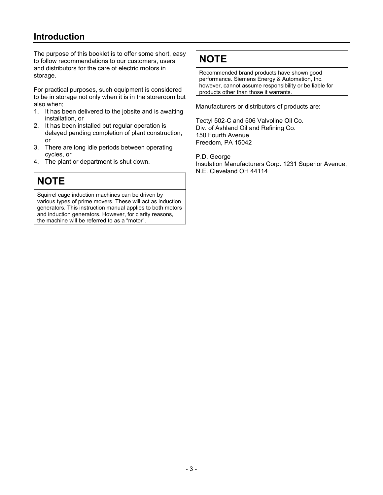## <span id="page-3-0"></span>**Introduction**

The purpose of this booklet is to offer some short, easy to follow recommendations to our customers, users and distributors for the care of electric motors in storage.

For practical purposes, such equipment is considered to be in storage not only when it is in the storeroom but also when;

- 1. It has been delivered to the jobsite and is awaiting installation, or
- 2. It has been installed but regular operation is delayed pending completion of plant construction, or
- 3. There are long idle periods between operating cycles, or
- 4. The plant or department is shut down.

## **NOTE**

Squirrel cage induction machines can be driven by various types of prime movers. These will act as induction generators. This instruction manual applies to both motors and induction generators. However, for clarity reasons, the machine will be referred to as a "motor".

## **NOTE**

Recommended brand products have shown good performance. Siemens Energy & Automation, Inc. however, cannot assume responsibility or be liable for products other than those it warrants.

Manufacturers or distributors of products are:

Tectyl 502-C and 506 Valvoline Oil Co. Div. of Ashland Oil and Refining Co. 150 Fourth Avenue Freedom, PA 15042

P.D. George

Insulation Manufacturers Corp. 1231 Superior Avenue, N.E. Cleveland OH 44114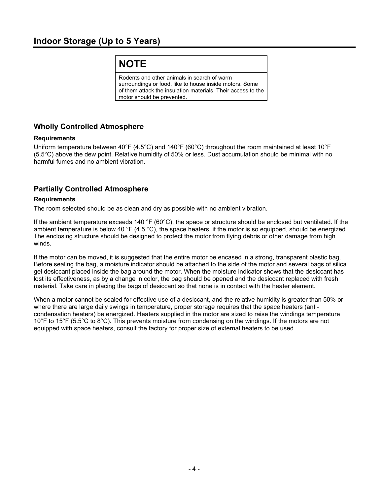## <span id="page-4-0"></span>**Indoor Storage (Up to 5 Years)**

## **NOTE**

Rodents and other animals in search of warm surroundings or food, like to house inside motors. Some of them attack the insulation materials. Their access to the motor should be prevented.

#### **Wholly Controlled Atmosphere**

#### **Requirements**

Uniform temperature between 40°F (4.5°C) and 140°F (60°C) throughout the room maintained at least 10°F (5.5°C) above the dew point. Relative humidity of 50% or less. Dust accumulation should be minimal with no harmful fumes and no ambient vibration.

#### **Partially Controlled Atmosphere**

#### **Requirements**

The room selected should be as clean and dry as possible with no ambient vibration.

If the ambient temperature exceeds 140  $\degree$ F (60 $\degree$ C), the space or structure should be enclosed but ventilated. If the ambient temperature is below 40 °F (4.5 °C), the space heaters, if the motor is so equipped, should be energized. The enclosing structure should be designed to protect the motor from flying debris or other damage from high winds.

If the motor can be moved, it is suggested that the entire motor be encased in a strong, transparent plastic bag. Before sealing the bag, a moisture indicator should be attached to the side of the motor and several bags of silica gel desiccant placed inside the bag around the motor. When the moisture indicator shows that the desiccant has lost its effectiveness, as by a change in color, the bag should be opened and the desiccant replaced with fresh material. Take care in placing the bags of desiccant so that none is in contact with the heater element.

When a motor cannot be sealed for effective use of a desiccant, and the relative humidity is greater than 50% or where there are large daily swings in temperature, proper storage requires that the space heaters (anticondensation heaters) be energized. Heaters supplied in the motor are sized to raise the windings temperature 10°F to 15°F (5.5°C to 8°C). This prevents moisture from condensing on the windings. If the motors are not equipped with space heaters, consult the factory for proper size of external heaters to be used.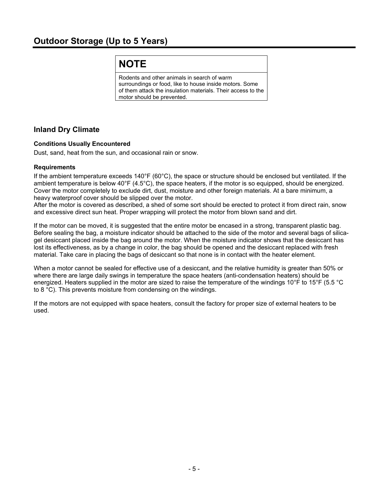## **NOTE**

Rodents and other animals in search of warm surroundings or food, like to house inside motors. Some of them attack the insulation materials. Their access to the motor should be prevented.

#### <span id="page-5-0"></span>**Inland Dry Climate**

#### **Conditions Usually Encountered**

Dust, sand, heat from the sun, and occasional rain or snow.

#### **Requirements**

If the ambient temperature exceeds 140°F (60°C), the space or structure should be enclosed but ventilated. If the ambient temperature is below 40°F (4.5°C), the space heaters, if the motor is so equipped, should be energized. Cover the motor completely to exclude dirt, dust, moisture and other foreign materials. At a bare minimum, a heavy waterproof cover should be slipped over the motor.

After the motor is covered as described, a shed of some sort should be erected to protect it from direct rain, snow and excessive direct sun heat. Proper wrapping will protect the motor from blown sand and dirt.

If the motor can be moved, it is suggested that the entire motor be encased in a strong, transparent plastic bag. Before sealing the bag, a moisture indicator should be attached to the side of the motor and several bags of silicagel desiccant placed inside the bag around the motor. When the moisture indicator shows that the desiccant has lost its effectiveness, as by a change in color, the bag should be opened and the desiccant replaced with fresh material. Take care in placing the bags of desiccant so that none is in contact with the heater element.

When a motor cannot be sealed for effective use of a desiccant, and the relative humidity is greater than 50% or where there are large daily swings in temperature the space heaters (anti-condensation heaters) should be energized. Heaters supplied in the motor are sized to raise the temperature of the windings 10°F to 15°F (5.5 °C to 8 °C). This prevents moisture from condensing on the windings.

If the motors are not equipped with space heaters, consult the factory for proper size of external heaters to be used.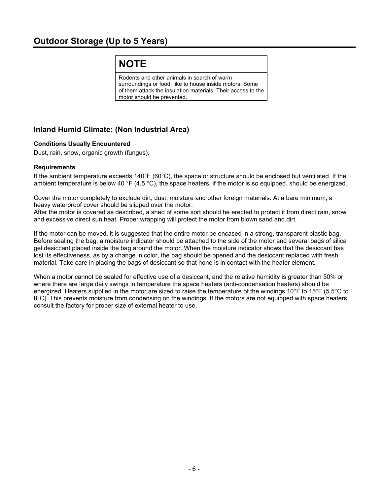## <span id="page-6-0"></span>**Outdoor Storage (Up to 5 Years)**

## **NOTE**

Rodents and other animals in search of warm surroundings or food, like to house inside motors. Some of them attack the insulation materials. Their access to the motor should be prevented.

#### **Inland Humid Climate: (Non Industrial Area)**

#### **Conditions Usually Encountered**

Dust, rain, snow, organic growth (fungus).

#### **Requirements**

If the ambient temperature exceeds 140°F (60°C), the space or structure should be enclosed but ventilated. If the ambient temperature is below 40 °F (4.5 °C), the space heaters, if the motor is so equipped, should be energized.

Cover the motor completely to exclude dirt, dust, moisture and other foreign materials. At a bare minimum, a heavy waterproof cover should be slipped over the motor.

After the motor is covered as described, a shed of some sort should he erected to protect it from direct rain, snow and excessive direct sun heat. Proper wrapping will protect the motor from blown sand and dirt.

If the motor can be moved, it is suggested that the entire motor be encased in a strong, transparent plastic bag. Before sealing the bag, a moisture indicator should be attached to the side of the motor and several bags of silica gel desiccant placed inside the bag around the motor. When the moisture indicator shows that the desiccant has lost its effectiveness, as by a change in color, the bag should be opened and the desiccant replaced with fresh material. Take care in placing the bags of desiccant so that none is in contact with the heater element.

When a motor cannot be sealed for effective use of a desiccant, and the relative humidity is greater than 50% or where there are large daily swings in temperature the space heaters (anti-condensation heaters) should be energized. Heaters supplied in the motor are sized to raise the temperature of the windings 10°F to 15°F (5.5°C to 8°C). This prevents moisture from condensing on the windings. If the motors are not equipped with space heaters, consult the factory for proper size of external heater to use.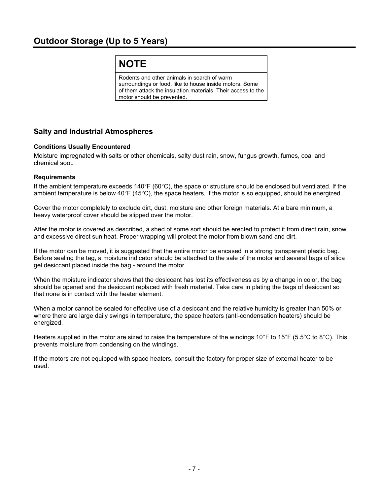## **NOTE**

Rodents and other animals in search of warm surroundings or food, like to house inside motors. Some of them attack the insulation materials. Their access to the motor should be prevented.

#### <span id="page-7-0"></span>**Salty and Industrial Atmospheres**

#### **Conditions Usually Encountered**

Moisture impregnated with salts or other chemicals, salty dust rain, snow, fungus growth, fumes, coal and chemical soot.

#### **Requirements**

If the ambient temperature exceeds 140°F (60°C), the space or structure should be enclosed but ventilated. If the ambient temperature is below 40°F (45°C), the space heaters, if the motor is so equipped, should be energized.

Cover the motor completely to exclude dirt, dust, moisture and other foreign materials. At a bare minimum, a heavy waterproof cover should be slipped over the motor.

After the motor is covered as described, a shed of some sort should be erected to protect it from direct rain, snow and excessive direct sun heat. Proper wrapping will protect the motor from blown sand and dirt.

If the motor can be moved, it is suggested that the entire motor be encased in a strong transparent plastic bag. Before sealing the tag, a moisture indicator should be attached to the sale of the motor and several bags of silica gel desiccant placed inside the bag - around the motor.

When the moisture indicator shows that the desiccant has lost its effectiveness as by a change in color, the bag should be opened and the desiccant replaced with fresh material. Take care in plating the bags of desiccant so that none is in contact with the heater element.

When a motor cannot be sealed for effective use of a desiccant and the relative humidity is greater than 50% or where there are large daily swings in temperature, the space heaters (anti-condensation heaters) should be energized.

Heaters supplied in the motor are sized to raise the temperature of the windings 10°F to 15°F (5.5°C to 8°C). This prevents moisture from condensing on the windings.

If the motors are not equipped with space heaters, consult the factory for proper size of external heater to be used.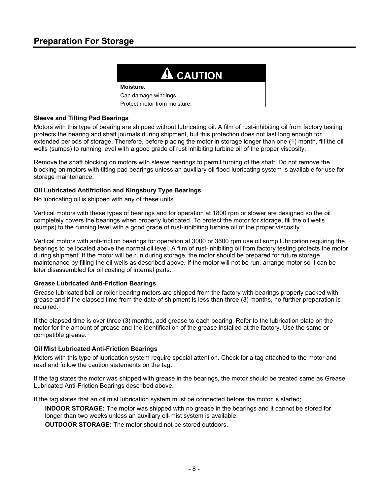## <span id="page-8-0"></span>**Preparation For Storage**



#### **Sleeve and Tilting Pad Bearings**

Motors with this type of bearing are shipped without lubricating oil. A film of rust-inhibiting oil from factory testing protects the bearing and shaft journals during shipment, but this protection does not last long enough for extended periods of storage. Therefore, before placing the motor in storage longer than one (1) month, fill the oil wells (sumps) to running level with a good grade of rust inhibiting turbine oil of the proper viscosity.

Remove the shaft blocking on motors with sleeve bearings to permit turning of the shaft. Do not remove the blocking on motors with tilting pad bearings unless an auxiliary oil flood lubricating system is available for use for storage maintenance.

#### **Oil Lubricated Antifriction and Kingsbury Type Bearings**

No lubricating oil is shipped with any of these units.

Vertical motors with these types of bearings and for operation at 1800 rpm or slower are designed so the oil completely covers the bearings when properly lubricated. To protect the motor for storage, fill the oil wells (sumps) to the running level with a good grade of rust-inhibiting turbine oil of the proper viscosity.

Vertical motors with anti-friction bearings for operation at 3000 or 3600 rpm use oil sump lubrication requiring the bearings to be located above the normal oil level. A film of rust-inhibiting oil from factory testing protects the motor during shipment. If the motor will be run during storage, the motor should be prepared for future storage maintenance by filling the oil wells as described above. If the motor will not be run, arrange motor so it can be later disassembled for oil coating of internal parts.

#### **Grease Lubricated Anti-Friction Bearings**

Grease lubricated ball or roller bearing motors are shipped from the factory with bearings properly packed with grease and if the elapsed time from the date of shipment is less than three (3) months, no further preparation is required.

If the elapsed time is over three (3) months, add grease to each bearing. Refer to the lubrication plate on the motor for the amount of grease and the identification of the grease installed at the factory. Use the same or compatible grease.

#### **Oil Mist Lubricated Anti-Friction Bearings**

Motors with this type of lubrication system require special attention. Check for a tag attached to the motor and read and follow the caution statements on the tag.

If the tag states the motor was shipped with grease in the bearings, the motor should be treated same as Grease Lubricated Anti-Friction Bearings described above.

If the tag states that an oil mist lubrication system must be connected before the motor is started;

**INDOOR STORAGE:** The motor was shipped with no grease in the bearings and it cannot be stored for longer than two weeks unless an auxiliary oil-mist system is available.

**OUTDOOR STORAGE:** The motor should not be stored outdoors.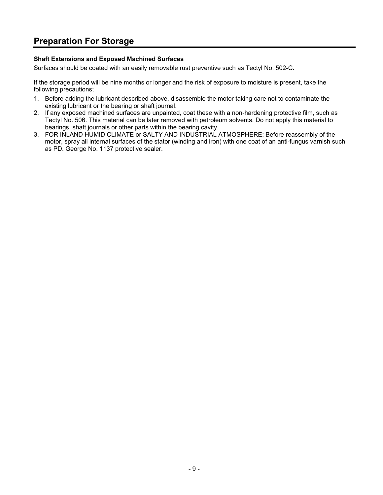## **Preparation For Storage**

#### **Shaft Extensions and Exposed Machined Surfaces**

Surfaces should be coated with an easily removable rust preventive such as Tectyl No. 502-C.

If the storage period will be nine months or longer and the risk of exposure to moisture is present, take the following precautions;

- 1. Before adding the lubricant described above, disassemble the motor taking care not to contaminate the existing lubricant or the bearing or shaft journal.
- 2. If any exposed machined surfaces are unpainted, coat these with a non-hardening protective film, such as Tectyl No. 506. This material can be later removed with petroleum solvents. Do not apply this material to bearings, shaft journals or other parts within the bearing cavity.
- 3. FOR INLAND HUMID CLIMATE or SALTY AND INDUSTRIAL ATMOSPHERE: Before reassembly of the motor, spray all internal surfaces of the stator (winding and iron) with one coat of an anti-fungus varnish such as PD. George No. 1137 protective sealer.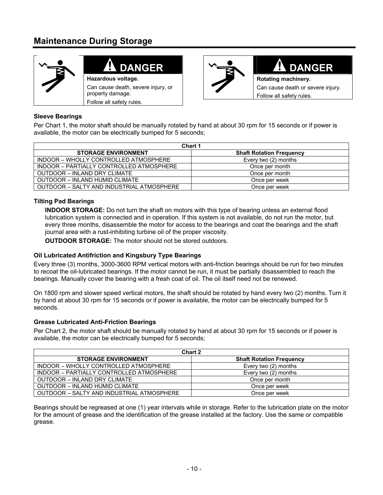## <span id="page-10-0"></span>**Maintenance During Storage**



## **DANGER**

**Hazardous voltage.**  Can cause death, severe injury, or

property damage. Follow all safety rules.



## **DANGER**

**Rotating machinery.**  Can cause death or severe injury. Follow all safety rules.

#### **Sleeve Bearings**

Per Chart 1, the motor shaft should be manually rotated by hand at about 30 rpm for 15 seconds or if power is available, the motor can be electrically bumped for 5 seconds;

| Chart 1                                   |                                 |  |  |  |
|-------------------------------------------|---------------------------------|--|--|--|
| <b>STORAGE ENVIRONMENT</b>                | <b>Shaft Rotation Frequency</b> |  |  |  |
| INDOOR - WHOLLY CONTROLLED ATMOSPHERE     | Every two (2) months            |  |  |  |
| INDOOR - PARTIALLY CONTROLLED ATMOSPHERE  | Once per month                  |  |  |  |
| OUTDOOR - INLAND DRY CLIMATE              | Once per month                  |  |  |  |
| OUTDOOR - INLAND HUMID CLIMATE            | Once per week                   |  |  |  |
| OUTDOOR - SALTY AND INDUSTRIAL ATMOSPHERE | Once per week                   |  |  |  |

#### **Tilting Pad Bearings**

**INDOOR STORAGE:** Do not turn the shaft on motors with this type of bearing unless an external flood lubrication system is connected and in operation. If this system is not available, do not run the motor, but every three months, disassemble the motor for access to the bearings and coat the bearings and the shaft journal area with a rust-inhibiting turbine oil of the proper viscosity.

**OUTDOOR STORAGE:** The motor should not be stored outdoors.

#### **Oil Lubricated Antifriction and Kingsbury Type Bearings**

Every three (3) months, 3000-3600 RPM vertical motors with anti-friction bearings should be run for two minutes to recoat the oil-lubricated bearings. If the motor cannot be run, it must be partially disassembled to reach the bearings. Manually cover the bearing with a fresh coat of oil. The oil itself need not be renewed.

On 1800 rpm and slower speed vertical motors, the shaft should be rotated by hand every two (2) months. Turn it by hand at about 30 rpm for 15 seconds or if power is available, the motor can be electrically bumped for 5 seconds.

#### **Grease Lubricated Anti-Friction Bearings**

Per Chart 2, the motor shaft should be manually rotated by hand at about 30 rpm for 15 seconds or if power is available, the motor can be electrically bumped for 5 seconds;

| Chart 2                                   |                                 |  |  |  |
|-------------------------------------------|---------------------------------|--|--|--|
| <b>STORAGE ENVIRONMENT</b>                | <b>Shaft Rotation Frequency</b> |  |  |  |
| INDOOR – WHOLLY CONTROLLED ATMOSPHERE     | Every two (2) months            |  |  |  |
| INDOOR - PARTIALLY CONTROLLED ATMOSPHERE  | Every two (2) months            |  |  |  |
| OUTDOOR - INLAND DRY CLIMATE              | Once per month                  |  |  |  |
| OUTDOOR - INLAND HUMID CLIMATE            | Once per week                   |  |  |  |
| OUTDOOR – SALTY AND INDUSTRIAL ATMOSPHERE | Once per week                   |  |  |  |

Bearings should be regreased at one (1) year intervals while in storage. Refer to the lubrication plate on the motor for the amount of grease and the identification of the grease installed at the factory. Use the same or compatible grease.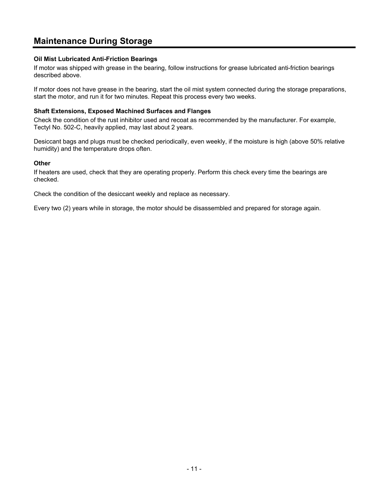## **Maintenance During Storage**

#### **Oil Mist Lubricated Anti-Friction Bearings**

If motor was shipped with grease in the bearing, follow instructions for grease lubricated anti-friction bearings described above.

If motor does not have grease in the bearing, start the oil mist system connected during the storage preparations, start the motor, and run it for two minutes. Repeat this process every two weeks.

#### **Shaft Extensions, Exposed Machined Surfaces and Flanges**

Check the condition of the rust inhibitor used and recoat as recommended by the manufacturer. For example, Tectyl No. 502-C, heavily applied, may last about 2 years.

Desiccant bags and plugs must be checked periodically, even weekly, if the moisture is high (above 50% relative humidity) and the temperature drops often.

#### **Other**

If heaters are used, check that they are operating properly. Perform this check every time the bearings are checked.

Check the condition of the desiccant weekly and replace as necessary.

Every two (2) years while in storage, the motor should be disassembled and prepared for storage again.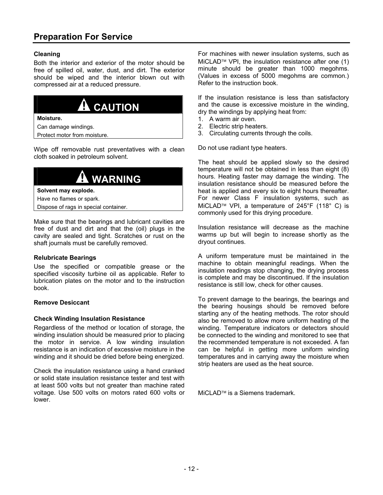#### <span id="page-12-0"></span>**Cleaning**

Both the interior and exterior of the motor should be free of spilled oil, water, dust, and dirt. The exterior should be wiped and the interior blown out with compressed air at a reduced pressure.



Can damage windings.

Protect motor from moisture.

Wipe off removable rust preventatives with a clean cloth soaked in petroleum solvent.



free of dust and dirt and that the (oil) plugs in the cavity are sealed and tight. Scratches or rust on the shaft journals must be carefully removed.

#### **Relubricate Bearings**

Use the specified or compatible grease or the specified viscosity turbine oil as applicable. Refer to lubrication plates on the motor and to the instruction book.

#### **Remove Desiccant**

#### **Check Winding Insulation Resistance**

Regardless of the method or location of storage, the winding insulation should be measured prior to placing the motor in service. A low winding insulation resistance is an indication of excessive moisture in the winding and it should be dried before being energized.

Check the insulation resistance using a hand cranked or solid state insulation resistance tester and test with at least 500 volts but not greater than machine rated voltage. Use 500 volts on motors rated 600 volts or lower.

For machines with newer insulation systems, such as  $MicLAD^{\pi M}$  VPI, the insulation resistance after one (1) minute should be greater than 1000 megohms. (Values in excess of 5000 megohms are common.) Refer to the instruction book.

If the insulation resistance is less than satisfactory and the cause is excessive moisture in the winding, dry the windings by applying heat from:

- 1. A warm air oven.
- 2. Electric strip heaters.
- 3. Circulating currents through the coils.

Do not use radiant type heaters.

The heat should be applied slowly so the desired temperature will not be obtained in less than eight (8) hours. Heating faster may damage the winding. The insulation resistance should be measured before the heat is applied and every six to eight hours thereafter. For newer Class F insulation systems, such as MiCLAD<sup>™</sup> VPI, a temperature of 245°F (118° C) is commonly used for this drying procedure.

Insulation resistance will decrease as the machine warms up but will begin to increase shortly as the dryout continues.

A uniform temperature must be maintained in the machine to obtain meaningful readings. When the insulation readings stop changing, the drying process is complete and may be discontinued. If the insulation resistance is still low, check for other causes.

To prevent damage to the bearings, the bearings and the bearing housings should be removed before starting any of the heating methods. The rotor should also be removed to allow more uniform heating of the winding. Temperature indicators or detectors should be connected to the winding and monitored to see that the recommended temperature is not exceeded. A fan can be helpful in getting more uniform winding temperatures and in carrying away the moisture when strip heaters are used as the heat source.

MiCLAD<sup>™</sup> is a Siemens trademark.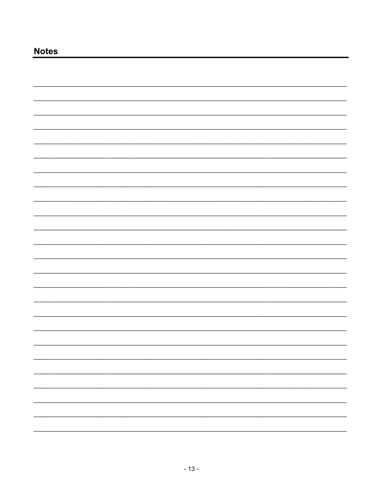## **Notes**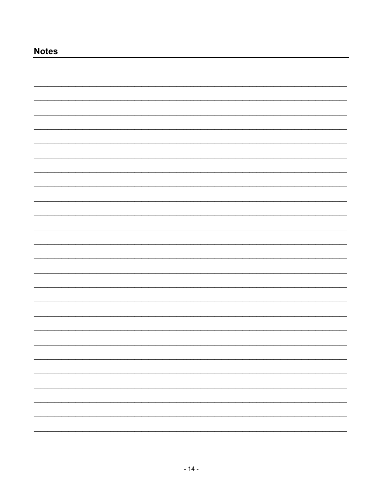## **Notes**